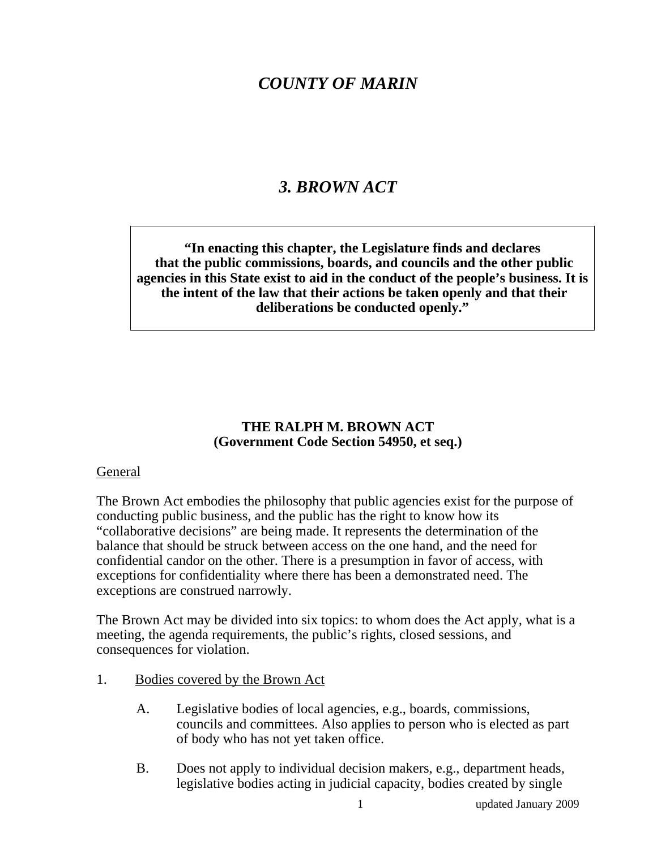## *COUNTY OF MARIN*

### *3. BROWN ACT*

**"In enacting this chapter, the Legislature finds and declares that the public commissions, boards, and councils and the other public agencies in this State exist to aid in the conduct of the people's business. It is the intent of the law that their actions be taken openly and that their deliberations be conducted openly."** 

#### **THE RALPH M. BROWN ACT (Government Code Section 54950, et seq.)**

#### General

The Brown Act embodies the philosophy that public agencies exist for the purpose of conducting public business, and the public has the right to know how its "collaborative decisions" are being made. It represents the determination of the balance that should be struck between access on the one hand, and the need for confidential candor on the other. There is a presumption in favor of access, with exceptions for confidentiality where there has been a demonstrated need. The exceptions are construed narrowly.

The Brown Act may be divided into six topics: to whom does the Act apply, what is a meeting, the agenda requirements, the public's rights, closed sessions, and consequences for violation.

- 1. Bodies covered by the Brown Act
	- A. Legislative bodies of local agencies, e.g., boards, commissions, councils and committees. Also applies to person who is elected as part of body who has not yet taken office.
	- B. Does not apply to individual decision makers, e.g., department heads, legislative bodies acting in judicial capacity, bodies created by single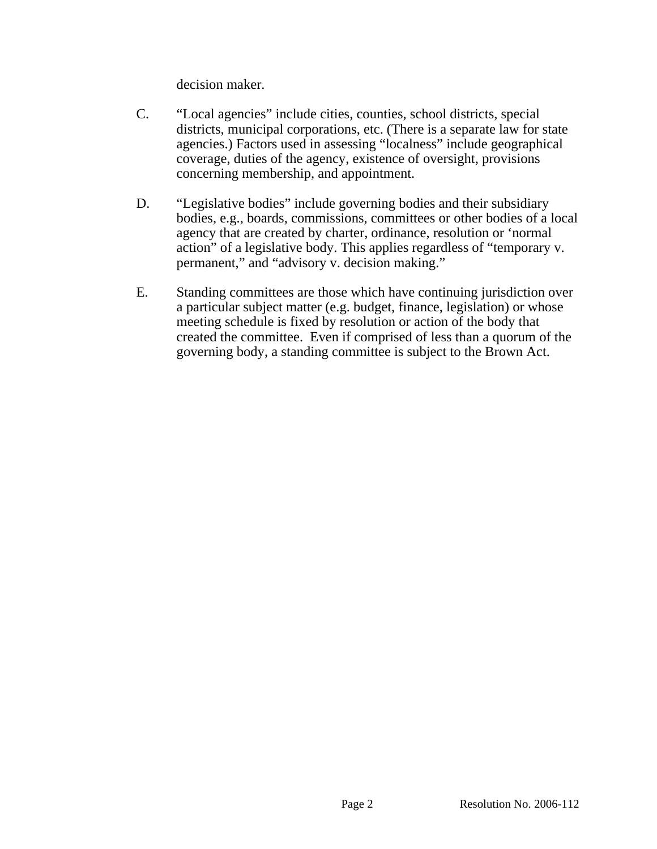decision maker.

- C. "Local agencies" include cities, counties, school districts, special districts, municipal corporations, etc. (There is a separate law for state agencies.) Factors used in assessing "localness" include geographical coverage, duties of the agency, existence of oversight, provisions concerning membership, and appointment.
- D. "Legislative bodies" include governing bodies and their subsidiary bodies, e.g., boards, commissions, committees or other bodies of a local agency that are created by charter, ordinance, resolution or 'normal action" of a legislative body. This applies regardless of "temporary v. permanent," and "advisory v. decision making."
- E. Standing committees are those which have continuing jurisdiction over a particular subject matter (e.g. budget, finance, legislation) or whose meeting schedule is fixed by resolution or action of the body that created the committee. Even if comprised of less than a quorum of the governing body, a standing committee is subject to the Brown Act.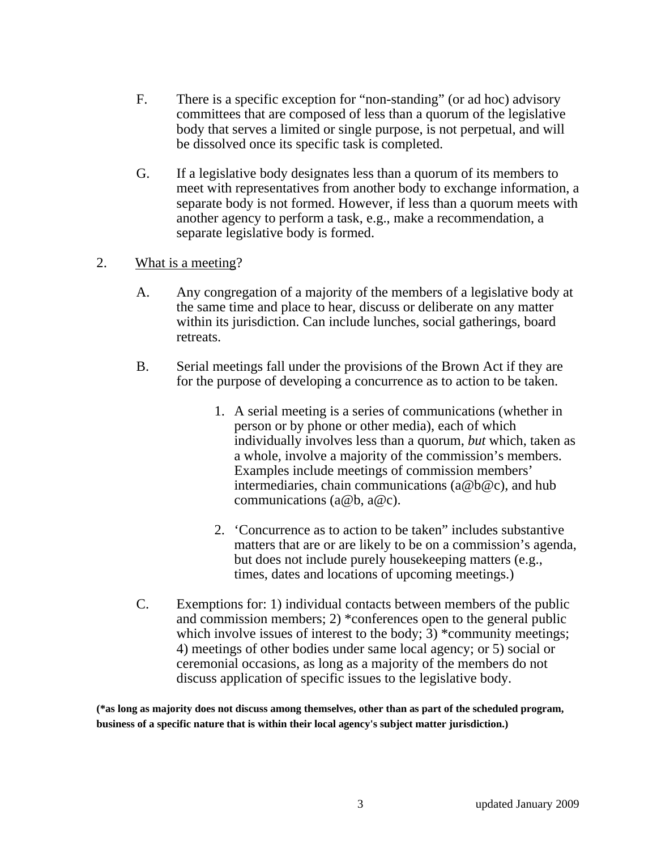- F. There is a specific exception for "non-standing" (or ad hoc) advisory committees that are composed of less than a quorum of the legislative body that serves a limited or single purpose, is not perpetual, and will be dissolved once its specific task is completed.
- G. If a legislative body designates less than a quorum of its members to meet with representatives from another body to exchange information, a separate body is not formed. However, if less than a quorum meets with another agency to perform a task, e.g., make a recommendation, a separate legislative body is formed.
- 2. What is a meeting?
	- A. Any congregation of a majority of the members of a legislative body at the same time and place to hear, discuss or deliberate on any matter within its jurisdiction. Can include lunches, social gatherings, board retreats.
	- B. Serial meetings fall under the provisions of the Brown Act if they are for the purpose of developing a concurrence as to action to be taken.
		- 1. A serial meeting is a series of communications (whether in person or by phone or other media), each of which individually involves less than a quorum, *but* which, taken as a whole, involve a majority of the commission's members. Examples include meetings of commission members' intermediaries, chain communications (a@b@c), and hub communications (a@b, a@c).
		- 2. 'Concurrence as to action to be taken" includes substantive matters that are or are likely to be on a commission's agenda, but does not include purely housekeeping matters (e.g., times, dates and locations of upcoming meetings.)
	- C. Exemptions for: 1) individual contacts between members of the public and commission members; 2) \*conferences open to the general public which involve issues of interest to the body;  $\overline{3}$ ) \*community meetings; 4) meetings of other bodies under same local agency; or 5) social or ceremonial occasions, as long as a majority of the members do not discuss application of specific issues to the legislative body.

**(\*as long as majority does not discuss among themselves, other than as part of the scheduled program, business of a specific nature that is within their local agency's subject matter jurisdiction.)**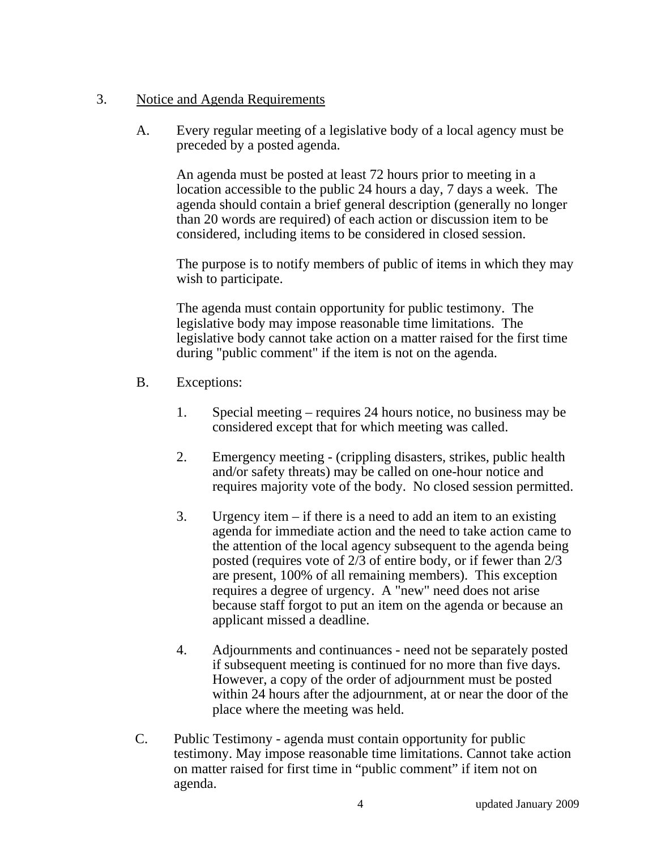#### 3. Notice and Agenda Requirements

A. Every regular meeting of a legislative body of a local agency must be preceded by a posted agenda.

 An agenda must be posted at least 72 hours prior to meeting in a location accessible to the public 24 hours a day, 7 days a week. The agenda should contain a brief general description (generally no longer than 20 words are required) of each action or discussion item to be considered, including items to be considered in closed session.

 The purpose is to notify members of public of items in which they may wish to participate.

 The agenda must contain opportunity for public testimony. The legislative body may impose reasonable time limitations. The legislative body cannot take action on a matter raised for the first time during "public comment" if the item is not on the agenda.

- B. Exceptions:
	- 1. Special meeting requires 24 hours notice, no business may be considered except that for which meeting was called.
	- 2. Emergency meeting (crippling disasters, strikes, public health and/or safety threats) may be called on one-hour notice and requires majority vote of the body. No closed session permitted.
	- 3. Urgency item if there is a need to add an item to an existing agenda for immediate action and the need to take action came to the attention of the local agency subsequent to the agenda being posted (requires vote of 2/3 of entire body, or if fewer than 2/3 are present, 100% of all remaining members). This exception requires a degree of urgency. A "new" need does not arise because staff forgot to put an item on the agenda or because an applicant missed a deadline.
	- 4. Adjournments and continuances need not be separately posted if subsequent meeting is continued for no more than five days. However, a copy of the order of adjournment must be posted within 24 hours after the adjournment, at or near the door of the place where the meeting was held.
- C. Public Testimony agenda must contain opportunity for public testimony. May impose reasonable time limitations. Cannot take action on matter raised for first time in "public comment" if item not on agenda.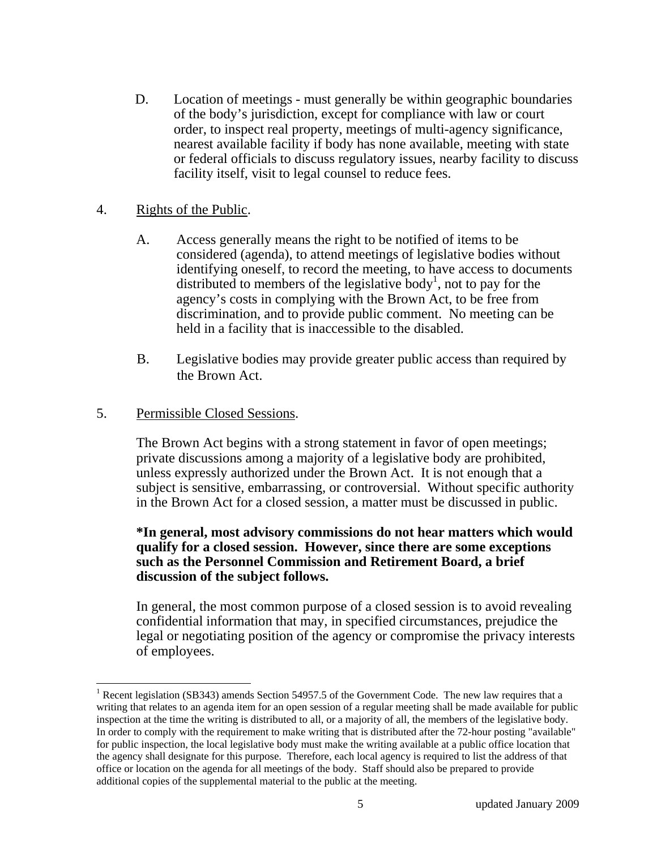D. Location of meetings - must generally be within geographic boundaries of the body's jurisdiction, except for compliance with law or court order, to inspect real property, meetings of multi-agency significance, nearest available facility if body has none available, meeting with state or federal officials to discuss regulatory issues, nearby facility to discuss facility itself, visit to legal counsel to reduce fees.

#### 4. Rights of the Public.

- A. Access generally means the right to be notified of items to be considered (agenda), to attend meetings of legislative bodies without identifying oneself, to record the meeting, to have access to documents distributed to members of the legislative body<sup>1</sup>, not to pay for the agency's costs in complying with the Brown Act, to be free from discrimination, and to provide public comment. No meeting can be held in a facility that is inaccessible to the disabled.
- B. Legislative bodies may provide greater public access than required by the Brown Act.

#### 5. Permissible Closed Sessions.

The Brown Act begins with a strong statement in favor of open meetings; private discussions among a majority of a legislative body are prohibited, unless expressly authorized under the Brown Act. It is not enough that a subject is sensitive, embarrassing, or controversial. Without specific authority in the Brown Act for a closed session, a matter must be discussed in public.

#### **\*In general, most advisory commissions do not hear matters which would qualify for a closed session. However, since there are some exceptions such as the Personnel Commission and Retirement Board, a brief discussion of the subject follows.**

In general, the most common purpose of a closed session is to avoid revealing confidential information that may, in specified circumstances, prejudice the legal or negotiating position of the agency or compromise the privacy interests of employees.

 $\overline{\phantom{a}}$ <sup>1</sup> Recent legislation (SB343) amends Section 54957.5 of the Government Code. The new law requires that a writing that relates to an agenda item for an open session of a regular meeting shall be made available for public inspection at the time the writing is distributed to all, or a majority of all, the members of the legislative body. In order to comply with the requirement to make writing that is distributed after the 72-hour posting "available" for public inspection, the local legislative body must make the writing available at a public office location that the agency shall designate for this purpose. Therefore, each local agency is required to list the address of that office or location on the agenda for all meetings of the body. Staff should also be prepared to provide additional copies of the supplemental material to the public at the meeting.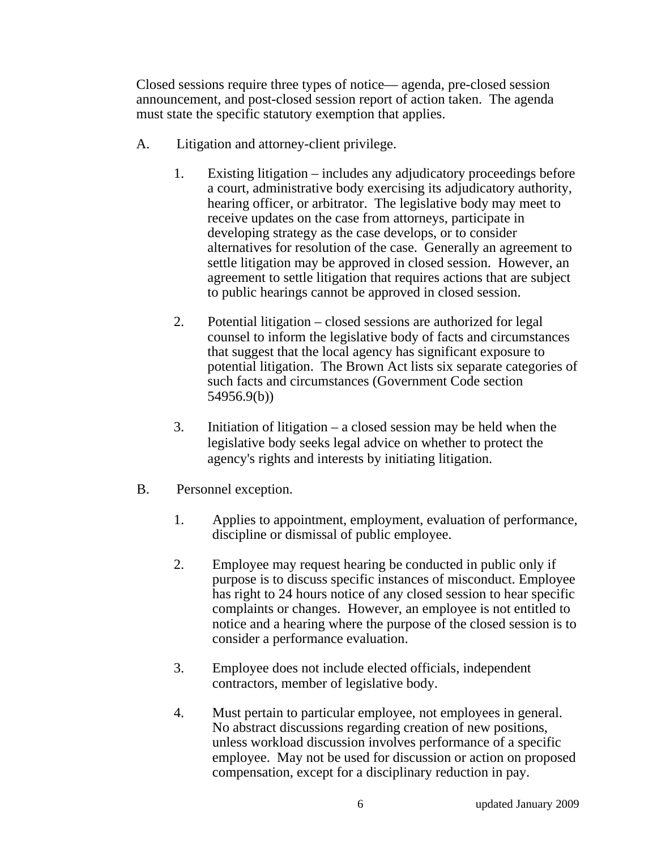Closed sessions require three types of notice— agenda, pre-closed session announcement, and post-closed session report of action taken. The agenda must state the specific statutory exemption that applies.

- A. Litigation and attorney-client privilege.
	- 1. Existing litigation includes any adjudicatory proceedings before a court, administrative body exercising its adjudicatory authority, hearing officer, or arbitrator. The legislative body may meet to receive updates on the case from attorneys, participate in developing strategy as the case develops, or to consider alternatives for resolution of the case. Generally an agreement to settle litigation may be approved in closed session. However, an agreement to settle litigation that requires actions that are subject to public hearings cannot be approved in closed session.
	- 2. Potential litigation closed sessions are authorized for legal counsel to inform the legislative body of facts and circumstances that suggest that the local agency has significant exposure to potential litigation. The Brown Act lists six separate categories of such facts and circumstances (Government Code section 54956.9(b))
	- 3. Initiation of litigation a closed session may be held when the legislative body seeks legal advice on whether to protect the agency's rights and interests by initiating litigation.
- B. Personnel exception.
	- 1. Applies to appointment, employment, evaluation of performance, discipline or dismissal of public employee.
	- 2. Employee may request hearing be conducted in public only if purpose is to discuss specific instances of misconduct. Employee has right to 24 hours notice of any closed session to hear specific complaints or changes. However, an employee is not entitled to notice and a hearing where the purpose of the closed session is to consider a performance evaluation.
	- 3. Employee does not include elected officials, independent contractors, member of legislative body.
	- 4. Must pertain to particular employee, not employees in general. No abstract discussions regarding creation of new positions, unless workload discussion involves performance of a specific employee. May not be used for discussion or action on proposed compensation, except for a disciplinary reduction in pay.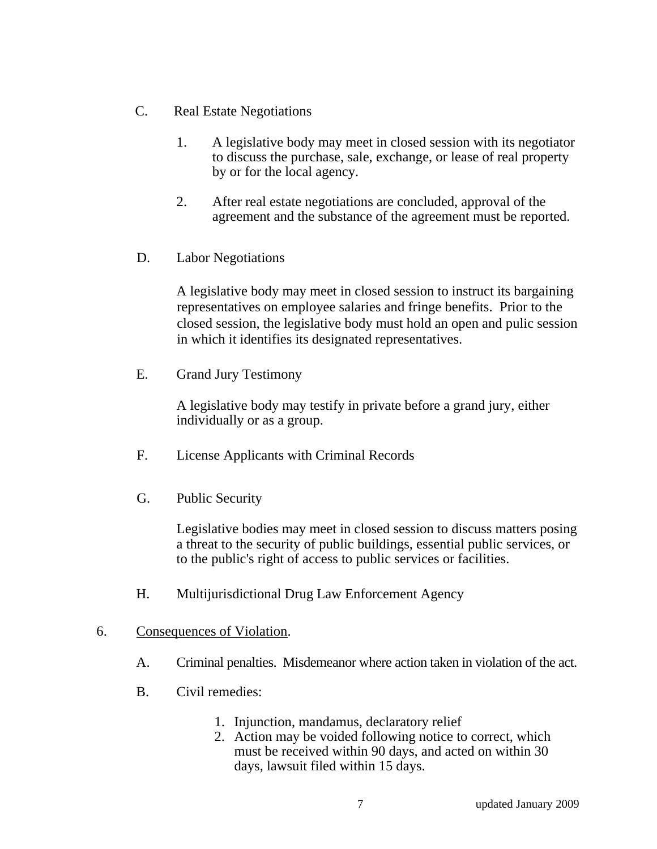- C. Real Estate Negotiations
	- 1. A legislative body may meet in closed session with its negotiator to discuss the purchase, sale, exchange, or lease of real property by or for the local agency.
	- 2. After real estate negotiations are concluded, approval of the agreement and the substance of the agreement must be reported.
- D. Labor Negotiations

 A legislative body may meet in closed session to instruct its bargaining representatives on employee salaries and fringe benefits. Prior to the closed session, the legislative body must hold an open and pulic session in which it identifies its designated representatives.

E. Grand Jury Testimony

 A legislative body may testify in private before a grand jury, either individually or as a group.

- F. License Applicants with Criminal Records
- G. Public Security

 Legislative bodies may meet in closed session to discuss matters posing a threat to the security of public buildings, essential public services, or to the public's right of access to public services or facilities.

- H. Multijurisdictional Drug Law Enforcement Agency
- 6. Consequences of Violation.
	- A. Criminal penalties. Misdemeanor where action taken in violation of the act.
	- B. Civil remedies:
		- 1. Injunction, mandamus, declaratory relief
		- 2. Action may be voided following notice to correct, which must be received within 90 days, and acted on within 30 days, lawsuit filed within 15 days.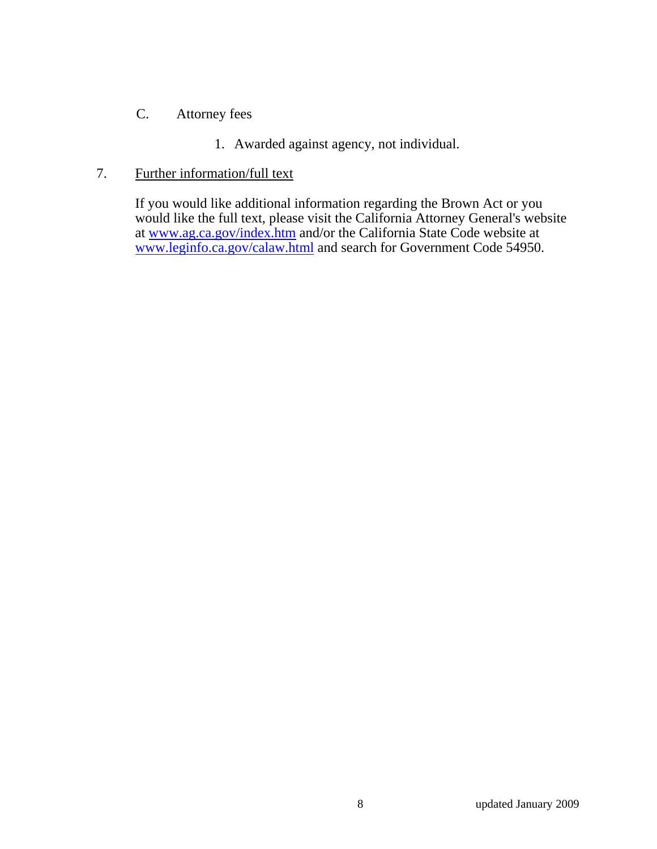#### C. Attorney fees

1. Awarded against agency, not individual.

#### 7. Further information/full text

 If you would like additional information regarding the Brown Act or you would like the full text, please visit the California Attorney General's website at www.ag.ca.gov/index.htm and/or the California State Code website at www.leginfo.ca.gov/calaw.html and search for Government Code 54950.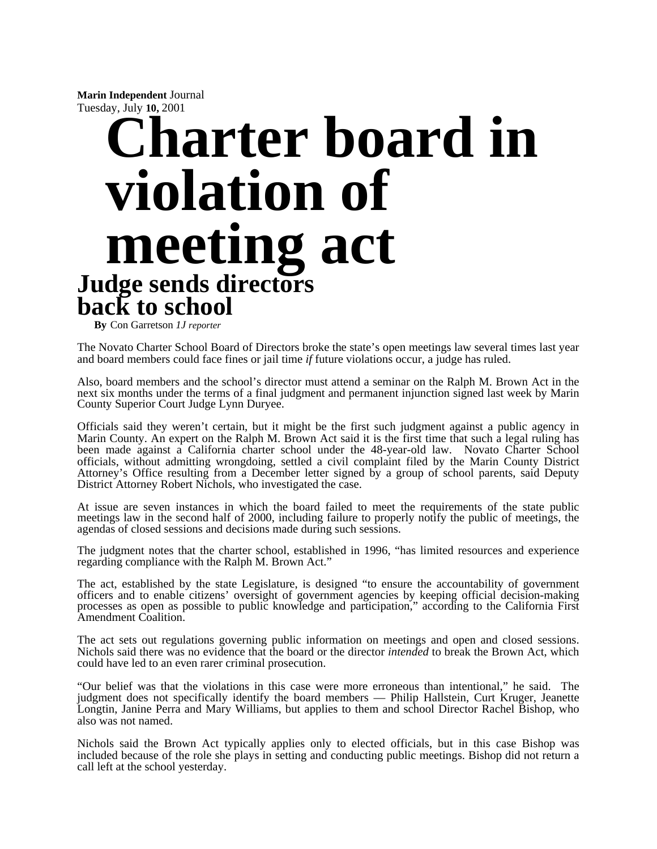**Marin Independent** Journal Tuesday, July **10,** 2001

# **Charter board in violation of meeting act Judge sends directors back to school**

**By** Con Garretson *1J reporter* 

The Novato Charter School Board of Directors broke the state's open meetings law several times last year and board members could face fines or jail time *if* future violations occur, a judge has ruled.

Also, board members and the school's director must attend a seminar on the Ralph M. Brown Act in the next six months under the terms of a final judgment and permanent injunction signed last week by Marin County Superior Court Judge Lynn Duryee.

Officials said they weren't certain, but it might be the first such judgment against a public agency in Marin County. An expert on the Ralph M. Brown Act said it is the first time that such a legal ruling has been made against a California charter school under the 48-year-old law. Novato Charter School officials, without admitting wrongdoing, settled a civil complaint filed by the Marin County District Attorney's Office resulting from a December letter signed by a group of school parents, said Deputy District Attorney Robert Nichols, who investigated the case.

At issue are seven instances in which the board failed to meet the requirements of the state public meetings law in the second half of 2000, including failure to properly notify the public of meetings, the agendas of closed sessions and decisions made during such sessions.

The judgment notes that the charter school, established in 1996, "has limited resources and experience regarding compliance with the Ralph M. Brown Act."

The act, established by the state Legislature, is designed "to ensure the accountability of government officers and to enable citizens' oversight of government agencies by keeping official decision-making processes as open as possible to public knowledge and participation," according to the California First Amendment Coalition.

The act sets out regulations governing public information on meetings and open and closed sessions. Nichols said there was no evidence that the board or the director *intended* to break the Brown Act, which could have led to an even rarer criminal prosecution.

"Our belief was that the violations in this case were more erroneous than intentional," he said. The judgment does not specifically identify the board members — Philip Hallstein, Curt Kruger, Jeanette Longtin, Janine Perra and Mary Williams, but applies to them and school Director Rachel Bishop, who also was not named.

Nichols said the Brown Act typically applies only to elected officials, but in this case Bishop was included because of the role she plays in setting and conducting public meetings. Bishop did not return a call left at the school yesterday.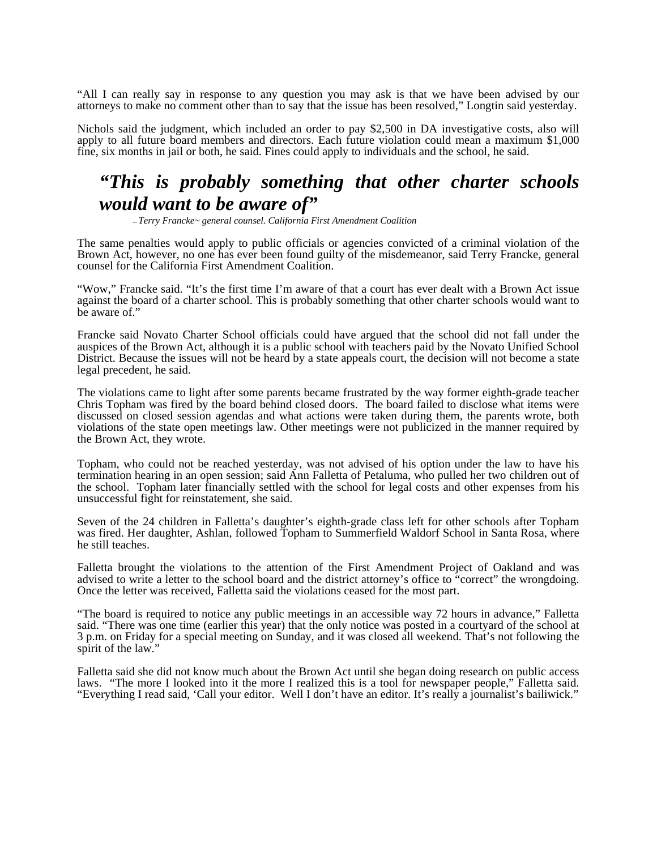"All I can really say in response to any question you may ask is that we have been advised by our attorneys to make no comment other than to say that the issue has been resolved," Longtin said yesterday.

Nichols said the judgment, which included an order to pay \$2,500 in DA investigative costs, also will apply to all future board members and directors. Each future violation could mean a maximum \$1,000 fine, six months in jail or both, he said. Fines could apply to individuals and the school, he said.

# *"This is probably something that other charter schools would want to be aware of"*

**—** *Terry Francke~ general counsel. California First Amendment Coalition*

The same penalties would apply to public officials or agencies convicted of a criminal violation of the Brown Act, however, no one has ever been found guilty of the misdemeanor, said Terry Francke, general counsel for the California First Amendment Coalition.

"Wow," Francke said. "It's the first time I'm aware of that a court has ever dealt with a Brown Act issue against the board of a charter school. This is probably something that other charter schools would want to be aware of."

Francke said Novato Charter School officials could have argued that the school did not fall under the auspices of the Brown Act, although it is a public school with teachers paid by the Novato Unified School District. Because the issues will not be heard by a state appeals court, the decision will not become a state legal precedent, he said.

The violations came to light after some parents became frustrated by the way former eighth-grade teacher Chris Topham was fired by the board behind closed doors. The board failed to disclose what items were discussed on closed session agendas and what actions were taken during them, the parents wrote, both violations of the state open meetings law. Other meetings were not publicized in the manner required by the Brown Act, they wrote.

Topham, who could not be reached yesterday, was not advised of his option under the law to have his termination hearing in an open session; said Ann Falletta of Petaluma, who pulled her two children out of the school. Topham later financially settled with the school for legal costs and other expenses from his unsuccessful fight for reinstatement, she said.

Seven of the 24 children in Falletta's daughter's eighth-grade class left for other schools after Topham was fired. Her daughter, Ashlan, followed Topham to Summerfield Waldorf School in Santa Rosa, where he still teaches.

Falletta brought the violations to the attention of the First Amendment Project of Oakland and was advised to write a letter to the school board and the district attorney's office to "correct" the wrongdoing. Once the letter was received, Falletta said the violations ceased for the most part.

"The board is required to notice any public meetings in an accessible way 72 hours in advance," Falletta said. "There was one time (earlier this year) that the only notice was posted in a courtyard of the school at 3 p.m. on Friday for a special meeting on Sunday, and it was closed all weekend. That's not following the spirit of the law."

Falletta said she did not know much about the Brown Act until she began doing research on public access laws. "The more I looked into it the more I realized this is a tool for newspaper people," Falletta said. "Everything I read said, 'Call your editor. Well I don't have an editor. It's really a journalist's bailiwick."